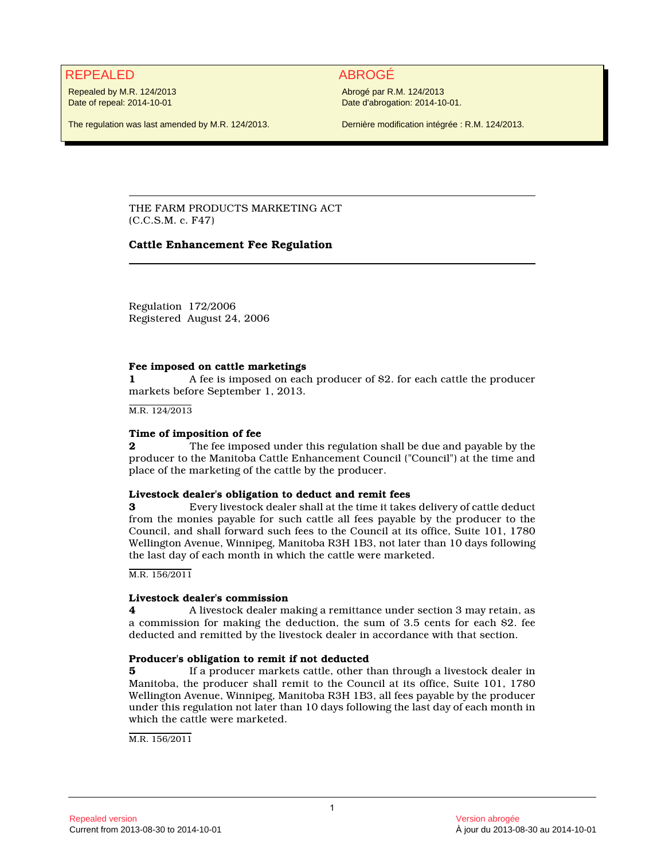# REPEALED ABROGÉ

Repealed by M.R. 124/2013 Date of repeal: 2014-10-01

Abrogé par R.M. 124/2013 Date d'abrogation: 2014-10-01.

The regulation was last amended by M.R. 124/2013.

Dernière modification intégrée : R.M. 124/2013.

THE FARM PRODUCTS MARKETING ACT (C.C.S.M. c. F47)

# **Cattle Enhancement Fee Regulation**

Regulation 172/2006 Registered August 24, 2006

### **Fee imposed on cattle marketings**

**1** A fee is imposed on each producer of \$2. for each cattle the producer markets before September 1, 2013.

M.R. 124/2013

### **Time of imposition of fee**

**2** The fee imposed under this regulation shall be due and payable by the producer to the Manitoba Cattle Enhancement Council ("Council") at the time and place of the marketing of the cattle by the producer.

#### **Livestock dealer's obligation to deduct and remit fees**

**3** Every livestock dealer shall at the time it takes delivery of cattle deduct from the monies payable for such cattle all fees payable by the producer to the Council, and shall forward such fees to the Council at its office, Suite 101, 1780 Wellington Avenue, Winnipeg, Manitoba R3H 1B3, not later than 10 days following the last day of each month in which the cattle were marketed.

M.R. 156/2011

# **Livestock dealer's commission**

**4** A livestock dealer making a remittance under section 3 may retain, as a commission for making the deduction, the sum of 3.5 cents for each \$2. fee deducted and remitted by the livestock dealer in accordance with that section.

# **Producer's obligation to remit if not deducted**

**5** If a producer markets cattle, other than through a livestock dealer in Manitoba, the producer shall remit to the Council at its office, Suite 101, 1780 Wellington Avenue, Winnipeg, Manitoba R3H 1B3, all fees payable by the producer under this regulation not later than 10 days following the last day of each month in which the cattle were marketed.

M.R. 156/2011